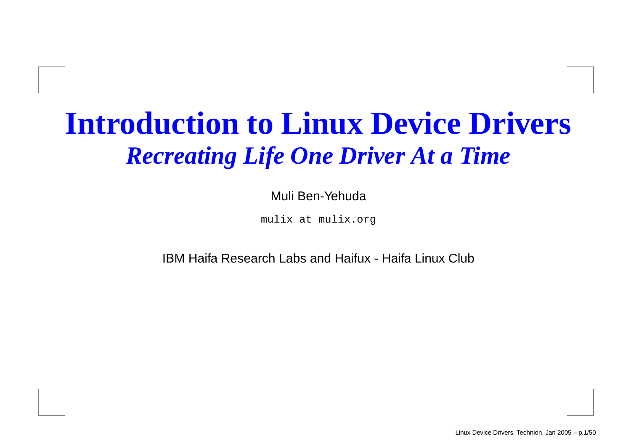#### **Introduction to Linux Device Drivers** *Recreating Life One Driver At <sup>a</sup> Time*

#### Muli Ben-Yehuda

mulix at mulix.org

IBM Haifa Research Labs and Haifux - Haifa Linux Club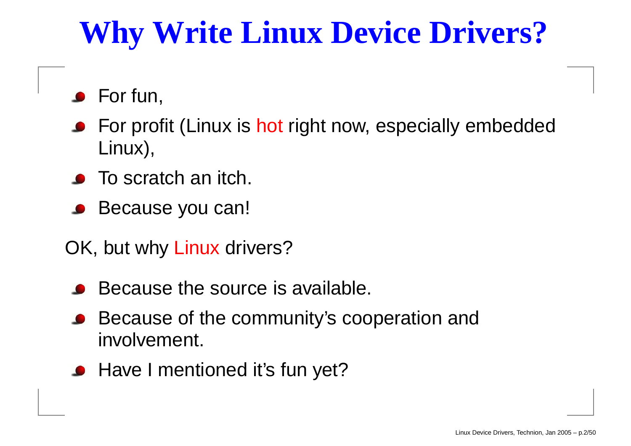### **Why Write Linux Device Drivers?**

- **•** For fun,
- **•** For profit (Linux is hot right now, especially embedded Linux),
- To scratch an itch.
- Because you can!
- OK, but why Linux drivers?
	- Because the source is available.
	- Because of the community's cooperation and involvement.
	- Have I mentioned it's fun yet?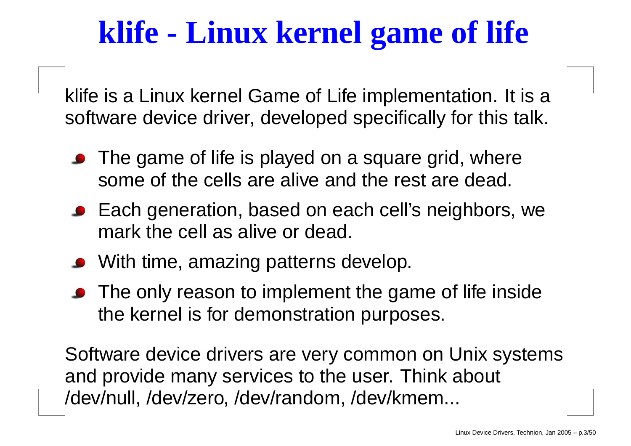### **klife - Linux kernel game of life**

klife is <sup>a</sup> Linux kernel Game of Life implementation. It is <sup>a</sup> software device driver, developed specifically for this talk.

- The game of life is played on <sup>a</sup> square grid, where some of the cells are alive and the rest are dead.
- Each generation, based on each cell's neighbors, we mark the cell as alive or dead.
- With time, amazing patterns develop.
- The only reason to implement the game of life inside the kernel is for demonstration purposes.

Software device drivers are very common on Unix systems and provide many services to the user. Think about /dev/null, /dev/zero, /dev/random, /dev/kmem...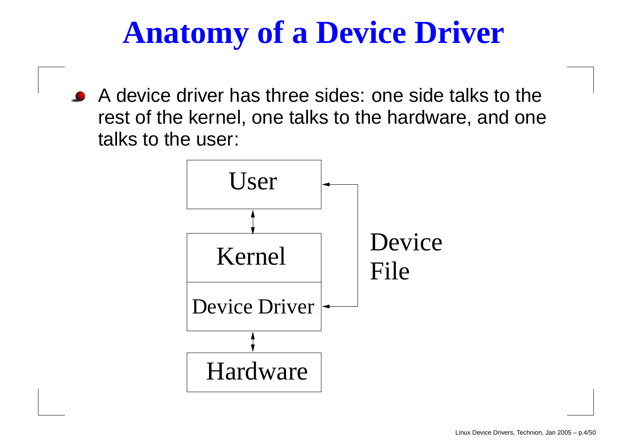### **Anatomy of <sup>a</sup> Device Driver**

A device driver has three sides: one side talks to the rest of the kernel, one talks to the hardware, and one talks to the user:

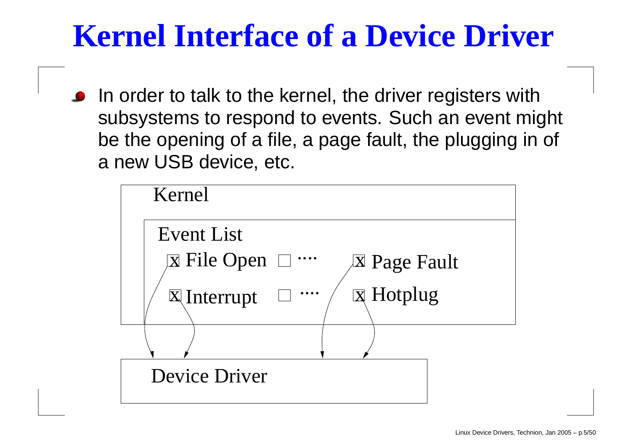### **Kernel Interface of <sup>a</sup> Device Driver**

In order to talk to the kernel, the driver registers with subsystems to respond to events. Such an event might be the opening of <sup>a</sup> file, <sup>a</sup> page fault, the plugging in of a new USB device, etc.

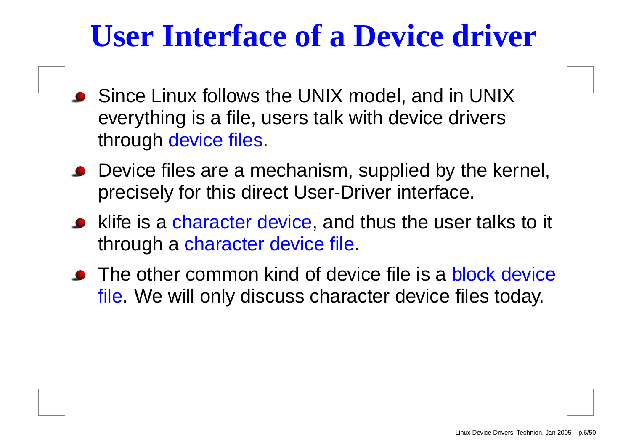#### **User Interface of <sup>a</sup> Device driver**

- Since Linux follows the UNIX model, and in UNIX everything is <sup>a</sup> file, users talk with device drivers through device files.
- Device files are <sup>a</sup> mechanism, supplied by the kernel, precisely for this direct User-Driver interface.
- klife is a character device, and thus the user talks to it through <sup>a</sup> character device file.
- The other common kind of device file is a block device file. We will only discuss character device files today.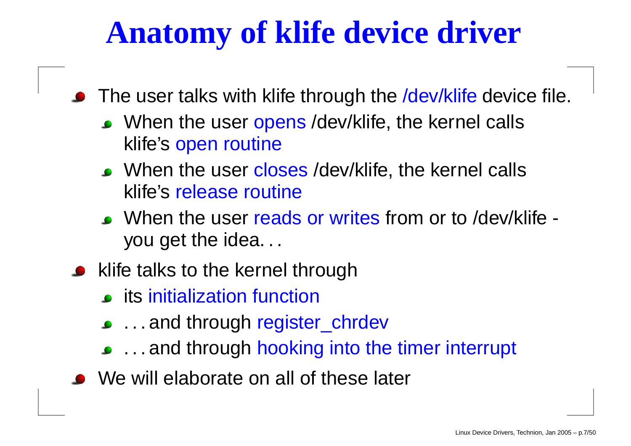### **Anatomy of klife device driver**

- The user talks with klife through the /dev/klife device file.
	- When the user opens /dev/klife, the kernel calls klife's open routine
	- When the user closes /dev/klife, the kernel calls klife's release routine
	- When the user reads or writes from or to /dev/klife you get the idea. . .
- klife talks to the kernel through
	- its initialization function
	- ...and through register\_chrdev
	- . . . and through hooking into the timer interrupt
- We will elaborate on all of these later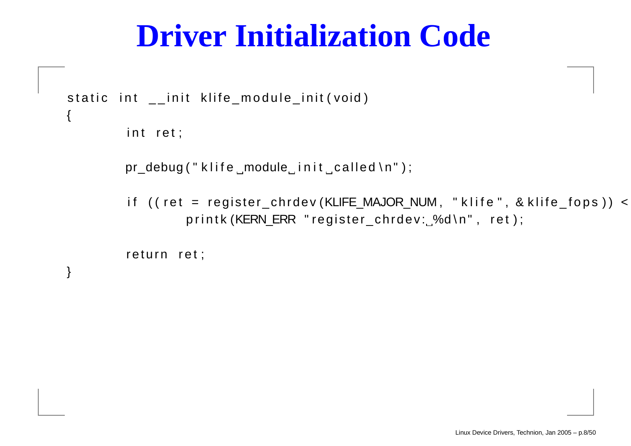#### **Driver Initialization Code**

```
static int __init klife_module_init(void)
               ii{
         iint ret;
        pr_debug ("klife_module_init_called\n");
```
iif (( ret = register\_chrdev(KLIFE\_MAJOR\_NUM , " klife " , & klife\_fops printk (KERN\_ERR "register\_chrdev: 3d\n", ret);

```
return ret;
```
}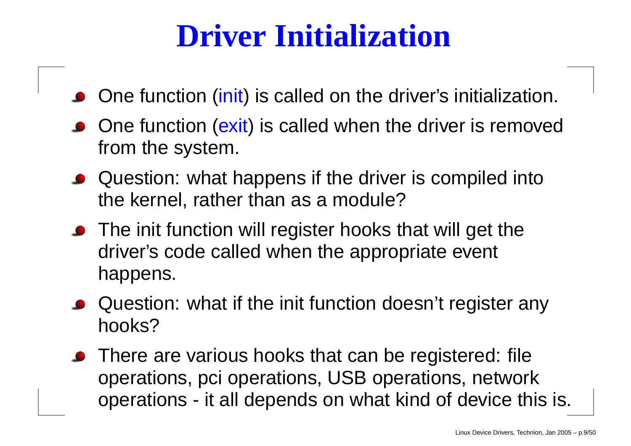### **Driver Initialization**

- One function (init) is called on the driver's initialization.
- One function (exit) is called when the driver is removed from the system.
- Question: what happens if the driver is compiled into the kernel, rather than as <sup>a</sup> module?
- The init function will register hooks that will get the driver's code called when the appropriate event happens.
- Question: what if the init function doesn't register any hooks?
- There are various hooks that can be registered: file operations, pci operations, USB operations, network operations - it all depends on what kind of device this is.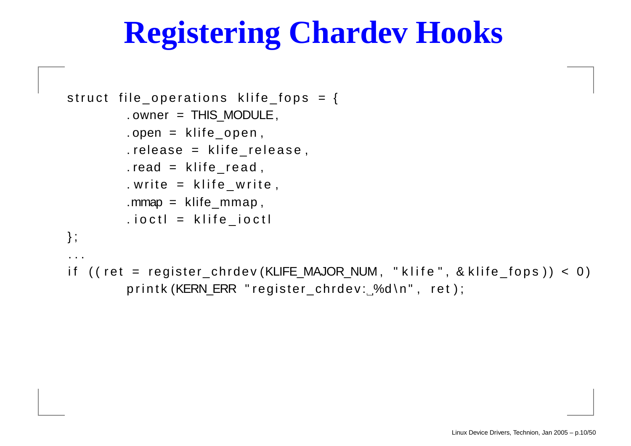### **Registering Chardev Hooks**

```
struct file_operations klife_fops = {
         . owner = THIS_MODULE,
         .open = klife_open,
         .release = klife_release,
         .read = klife\_read,. write = klife\_write ,
         .mmap = klife\_mmap,
         .ioctl = klife_ioctl
                          i} ;
 . .
```
iif (( ret = register\_chrdev(KLIFE\_MAJOR\_NUM, "klife", & klife\_fops )) < 0) printk (KERN\_ERR " register\_chrdev: %d\n", ret);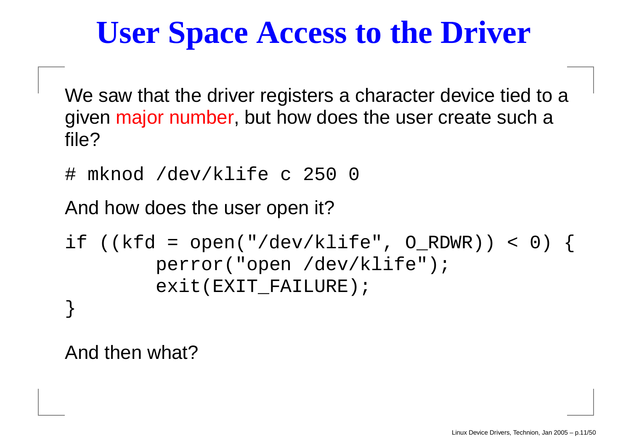### **User Space Access to the Driver**

We saw that the driver registers <sup>a</sup> character device tied to <sup>a</sup> given major number, but how does the user create such <sup>a</sup> file?

# mknod /dev/klife <sup>c</sup> 250 0

And how does the user open it?

```
if ((kfd = open("/dev/klife", O_RDWR)) < 0) {
        perror("open /dev/klife");
        exit(EXIT_FAILURE);
}
```
And then what?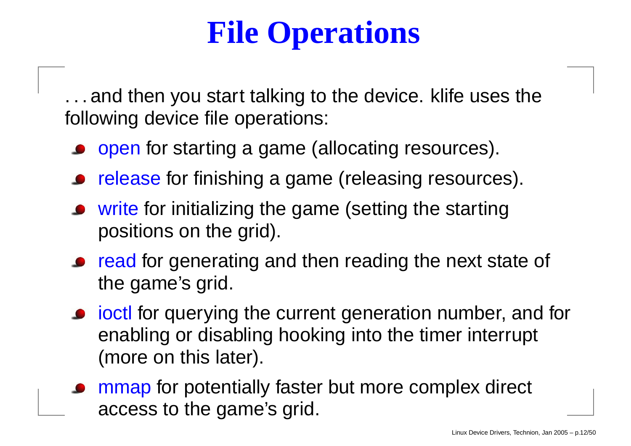### **File Operations**

. . . and then you start talking to the device. klife uses the following device file operations:

- o open for starting a game (allocating resources).
- release for finishing <sup>a</sup> game (releasing resources).
- write for initializing the game (setting the starting positions on the grid).
- read for generating and then reading the next state of the game's grid.
- **•** joctl for querying the current generation number, and for enabling or disabling hooking into the timer interrupt (more on this later).
- mmap for potentially faster but more complex direct access to the game's grid.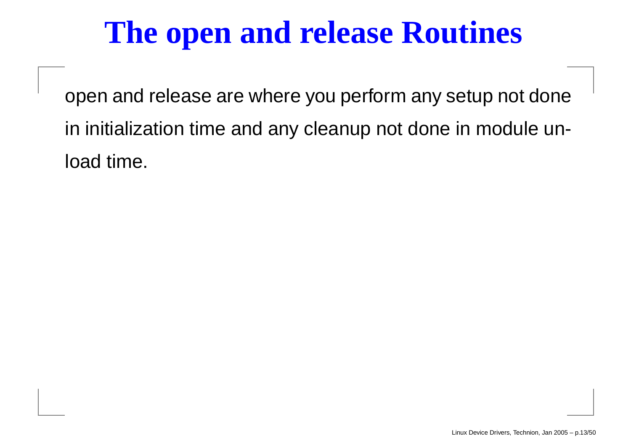### **The open and release Routines**

open and release are where you perform any setup not done in initialization time and any cleanup not done in module unload time.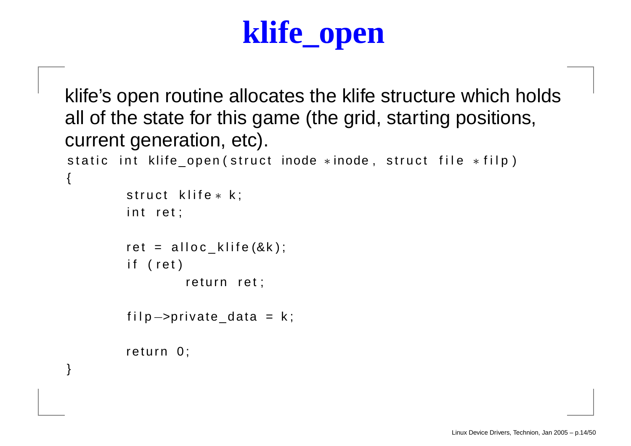### **klife\_open**

```
klife's open routine allocates the klife structure which holds
all of the state for this game (the grid, starting positions,
current generation, etc).
static int klife_open(struct inode *inode, struct file *filp)
\mathbf{A}struct klife*k;
         iint ret;
        ret = alloc_klife(&k);
         iif (ret)
                 return ret;
```

```
filp—>private_data = k;
```

```
return 0;
```
}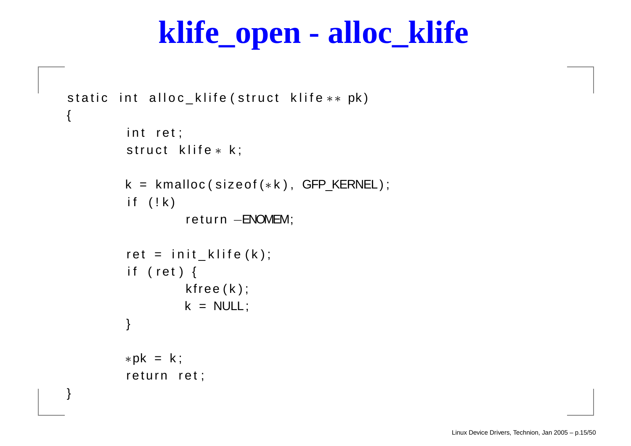#### **klife\_open - alloc\_klife**

```
static int alloc_klife(struct klife** pk)
{
         iint ret;
         struct klife*k;
         k = kmalloc(sizeof(*k), GFP_KERNEL);
         iif (!k)
                  return —ENOMEM;
         ret = init_klife(k);
         iif (ret) {
                  k free ( k ) ;
                  k = NULL;
         }
         *pk = k;
         return ret;
}
```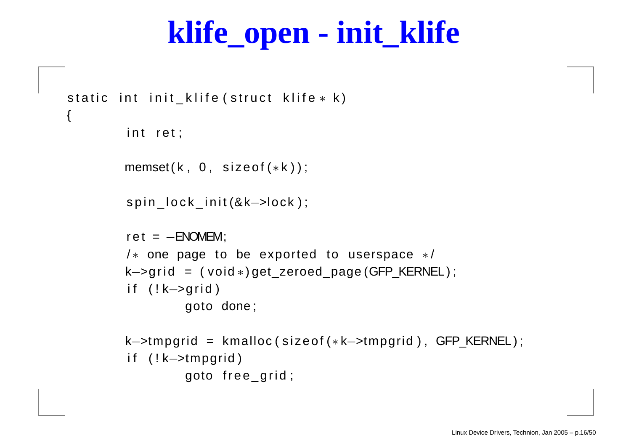#### **klife\_open - init\_klife**

```
static int init_klife(struct klife* k)
        iint ret;
        member(k, 0, sizeof(*k));spin_lock_init(&k—>lock );
        ret = -ENOMEM;/\ast one page to be exported to userspace \ast/k->grid = (void *)get_zeroed_page (GFP_KERNEL);
        iif (!k—>grid)
                goto done ;
        k–>tmpgrid = kmalloc(sizeof(*k–>tmpgrid), GFP_KERNEL);
        i f ( ! k−>tmpgrid )
                 goto free_grid;
```
{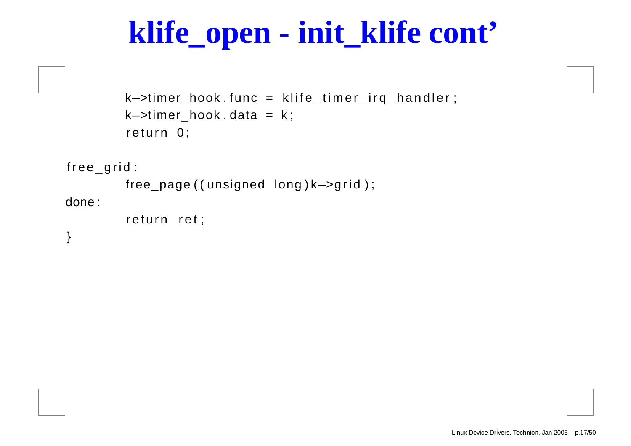#### **klife\_open - init\_klife cont'**

```
k—>timer_hook.func = klife_timer_irq_handler;
k−>timer
_
hook . data = k ;
return 0;
```
fr e e \_ g ri d :

```
free
_page ( ( unsigned long ) k−>g ri d ) ;
done :
```

```
return ret;
```
}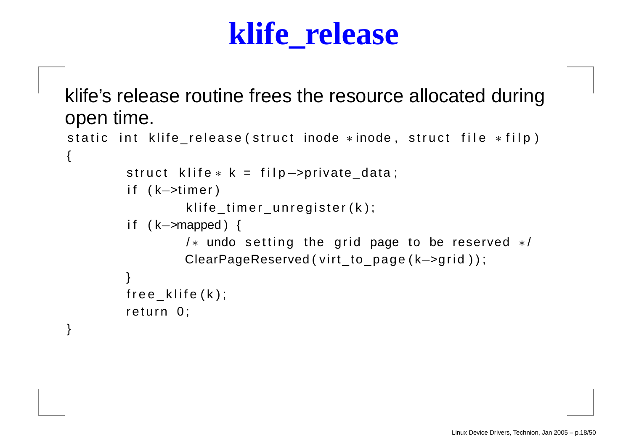#### **klife\_release**

klife's release routine frees the resource allocated during open time.

```
static int klife_release(struct inode *inode, struct file *filp)
{
         struct klife∗k = filp—>private_data;
         i f ( k−>timer )
                  klife_timer_unregister(k);
         i f ( k−>mapped ) {
                  /\ast undo setting the grid page to be reserved \ast/ClearPageReserved ( virt_to_page (k->grid ) );
        }
         free_klife(k);
        return 0;
```
}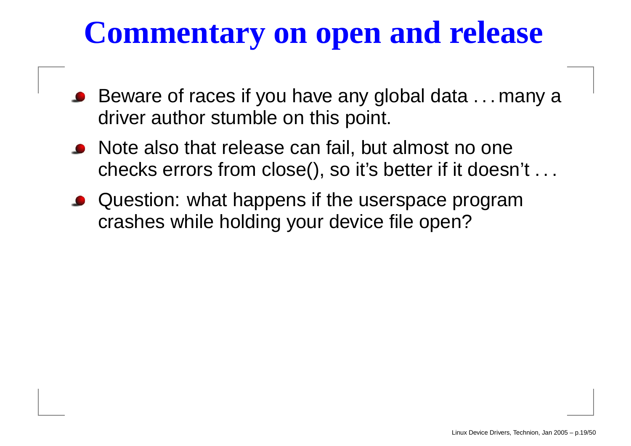### **Commentary on open and release**

- Beware of races if you have any global data . . . many a driver author stumble on this point.
- Note also that release can fail, but almost no one checks errors from close(), so it's better if it doesn't . . .
- Question: what happens if the userspace program crashes while holding your device file open?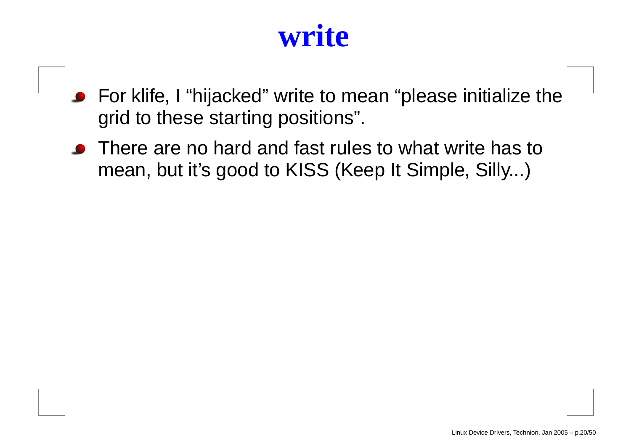#### **write**

- For klife, I "hijacked" write to mean "please initialize the grid to these starting positions".
- There are no hard and fast rules to what write has to mean, but it's good to KISS (Keep It Simple, Silly...)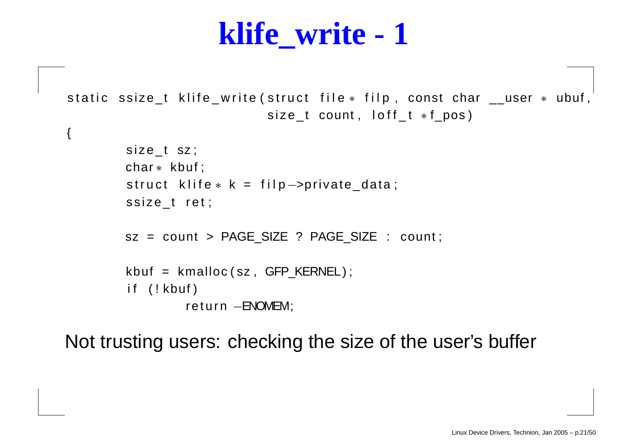#### **klife\_write - 1**

static ssize\_t klife\_write(struct file\* filp, const char \_\_user \* ubuf, size\_t count, loff\_t \*f\_pos)

```
size_t sz;
char ∗ kbuf ;
struct klife∗k = filp—>private_data;
ssize_t ret;
sz = count > PAGE_SIZE ? PAGE_SIZE : count;
kbuf = kmalloc ( sz , GFP_KERNEL ) ;
iif (!kbuf)
         return —ENOMEM;
```
{

Not trusting users: checking the size of the user's buffer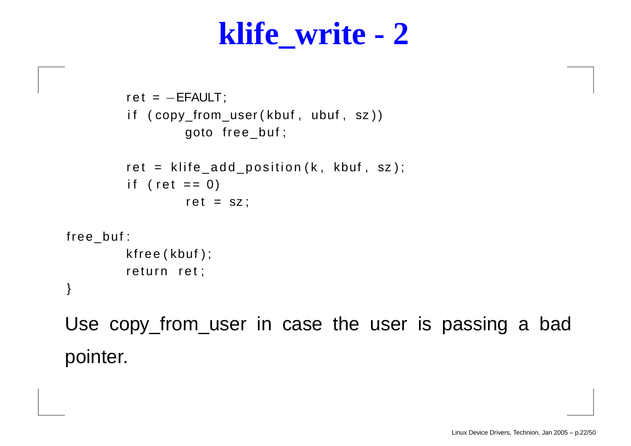#### **klife\_write - 2**

```
ret = -EFAULT;
         iif (copy_from_user(kbuf, ubuf, sz))
                  goto free_buf ;
         ret = klife_add_position(k, kbuf, sz);
         iif ( ret == 0)
                  ret = sz;
free
_
buf :
         k free ( kbuf ) ;
         return ret;
```
}

Use copy\_from\_user in case the user is passing <sup>a</sup> bad pointer.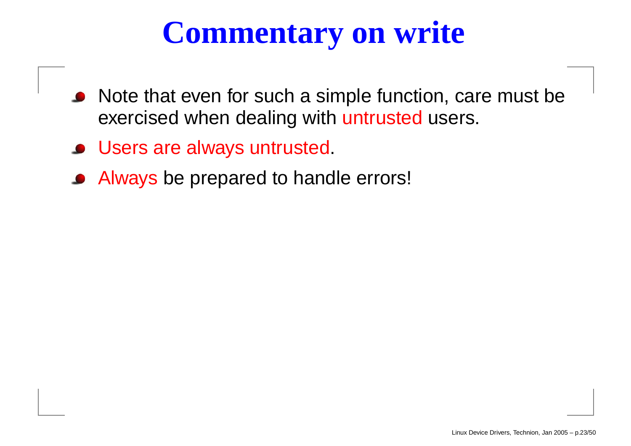### **Commentary on write**

- Note that e ven for such a simple function, care must be e xercised when dealing with untrusted users.
- Users are alw ays untrusted.
- Alw ays be prepared to handle errors!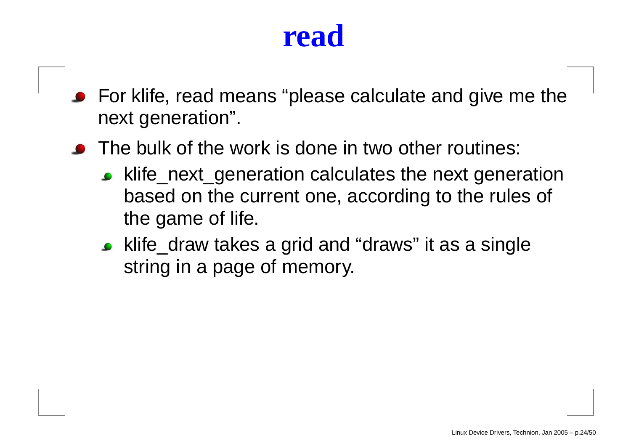#### **read**

- For klife, read means "please calculate and give me the next generation".
- The bulk of the work is done in two other routines:
	- klife\_next\_generation calculates the next generation based on the current one, according to the rules of the game of life.
	- klife\_draw takes a grid and "draws" it as a single string in <sup>a</sup> page of memory.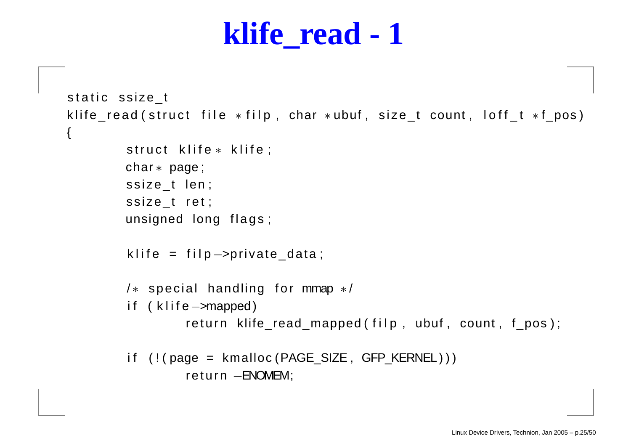```
static ssize_t
klife_read(struct file *filp, char *ubuf, size_t count, loff_t *f_pos)
\{struct klife* klife;
         char ∗ page ;
         ssize_t len;
         ssize_t ret;
        unsigned long flags;
         klife = filp—>private_data;
         /\ast special handling for mmap \ast/i f ( k l i f e−>mapped)
                 return klife_read_mapped(filp, ubuf, count, f_pos);
         iif (!(page = kmalloc(PAGE_SIZE, GFP_KERNEL)))
                 return —ENOMEM;
```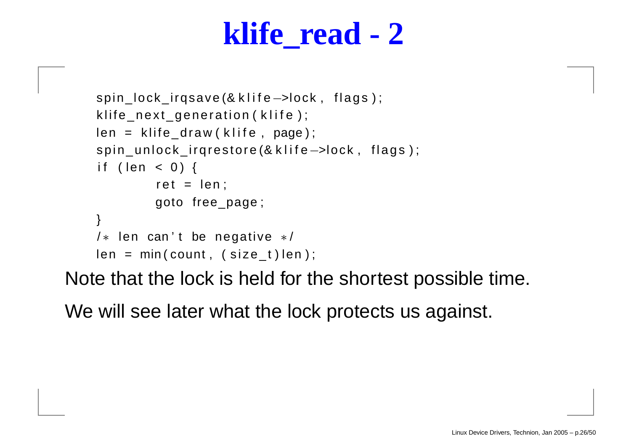```
spin_lock_irqsave (& klife->lock, flags);
klife_next_generation(klife);
len = klife_draw(klife, page);
spin_unlock_irqrestore (& klife->lock, flags);
i f ( len < 0 ) {
         ret = len;goto free_page ;
}
/\ast len can't be negative \ast/len = min(count, (size_t)len);
```
Note that the lock is held for the shortest possible time.

We will see later what the lock protects us against.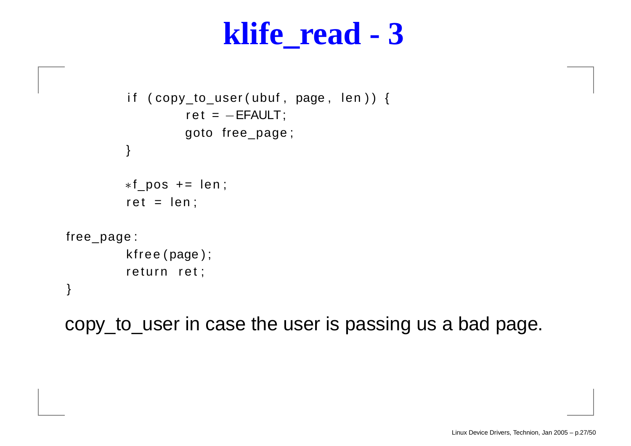```
iif (copy_to_user(ubuf, page, len)){
                   ret = −EFAULT;
                  goto free_page ;
         }
         ∗f
_pos += len ;
         ret = len;free
_page :
         k free ( page ) ;
         return ret;
```
}

copy\_to\_user in case the user is passing us <sup>a</sup> bad page.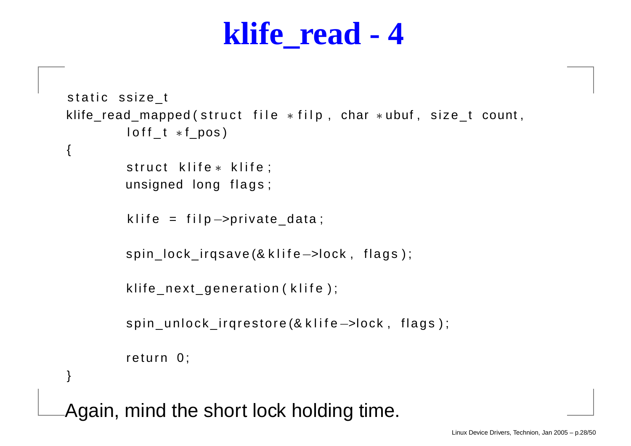```
static ssize_t
klife_read_mapped(struct file \astfilp, char \astubuf, size_t count,
         \sf{loff\_t * f\_pos}){
         struct klife* klife;
        unsigned long flags;
         klife = filp—>private_data;
        spin_lock_irqsave(& klife->lock, flags);
         klife_next_generation(klife);
        spin_unlock_irqrestore (& klife->lock, flags);
         return 0;
}
```
Again, mind the short lock holding time.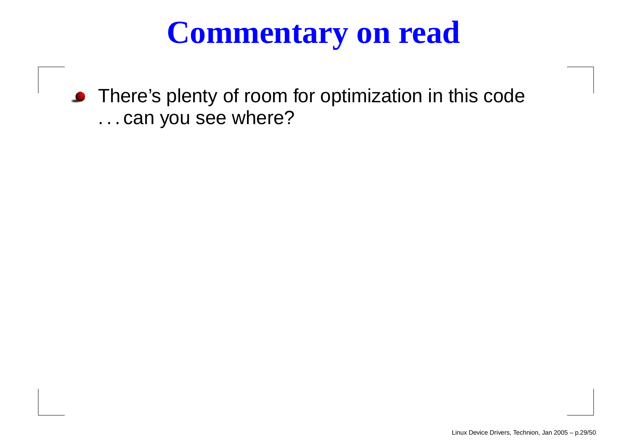### **Commentary on read**

There' s plenty of room for optimization in this code . . . can you see where?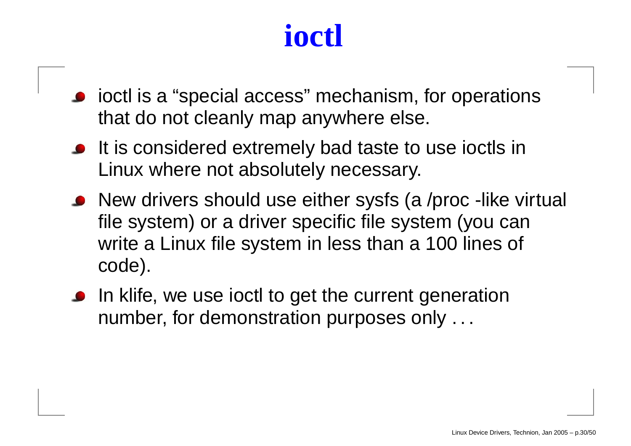### **ioctl**

- ioctl is a "special access" mechanism, for operations that do not cleanly map anywhere else.
- It is considered extremely bad taste to use ioctls in Linux where not absolutely necessary.
- New drivers should use either sysfs (a /proc -like virtual file system) or <sup>a</sup> driver specific file system (you can write <sup>a</sup> Linux file system in less than <sup>a</sup> 100 lines of code).
- In klife, we use ioctl to get the current generation number, for demonstration purposes only . . .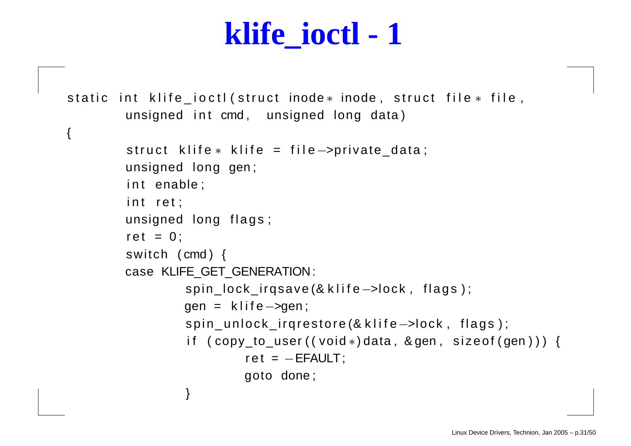#### **klife\_ioctl - 1**

```
static int klife_ioctl(struct inode* inode, struct file* file,
                   iunsigned int cmd, unsigned long data)
{
         struct klife∗ klife = file—>private_data;
        unsigned long gen ;
         iint enable;
         iint ret;
        unsigned long flags;
         ret = 0 ;
        switch ( cmd ) {
        case KLIFE
_
GET
_
GENERATION:
                 spin_lock_irqsave (& klife->lock, flags);
                 gen = klife->gen;
                 spin_unlock_irqrestore (& klife->lock, flags);
                  iif (copy_to_user((void∗)data,&gen,sizeof(gen))) {
                          ret = -EFAULT;
                          goto done ;
                 }
```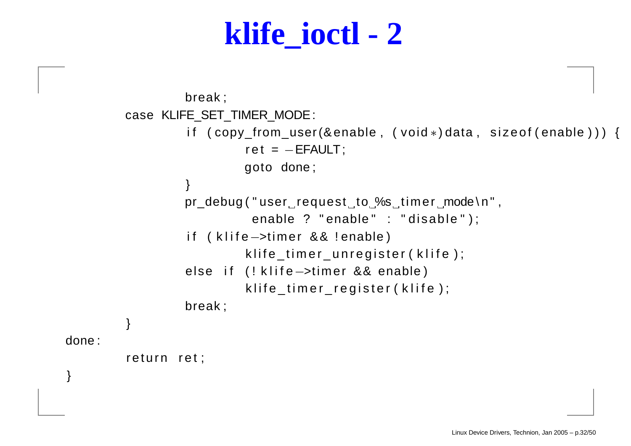#### **klife\_ioctl - 2**

```
break ;
         case KLIFE
_
SET
_
TIMER
_
MODE:
                  iif (copy_from_user(&enable, (void*)data, sizeof(enable))
                           ret = -EFAULT;
                          goto done ;
                 }
                 pr_debug ( " user request to %s timer mode \ n " ,
                            enable ? "enable" : "disable");
                  iif (klife—>timer && !enable)
                           klife_timer_unregister(klife);
                  else if (!klife—>timer && enable)
                           klife_timer_register(klife);
                  break ;
        }
done :
         return ret;
```
}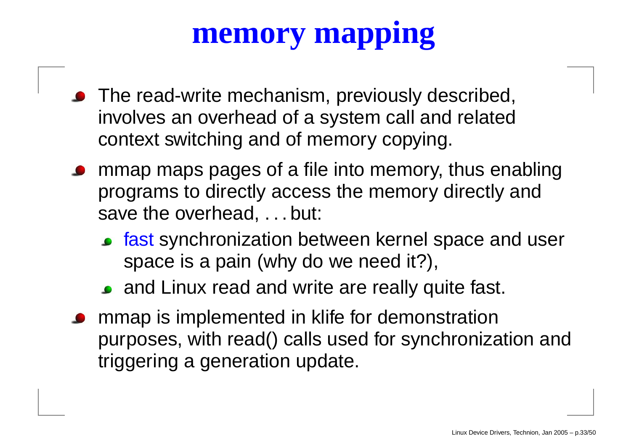### **memory mapping**

- The read-write mechanism, previously described, involves an overhead of <sup>a</sup> system call and related context switching and of memory copying.
- mmap maps pages of <sup>a</sup> file into memory, thus enabling programs to directly access the memory directly and save the overhead, . . . but:
	- **fast synchronization between kernel space and user** space is <sup>a</sup> pain (why do we need it?),
	- and Linux read and write are really quite fast.
- mmap is implemented in klife for demonstration purposes, with read() calls used for synchronization and triggering <sup>a</sup> generation update.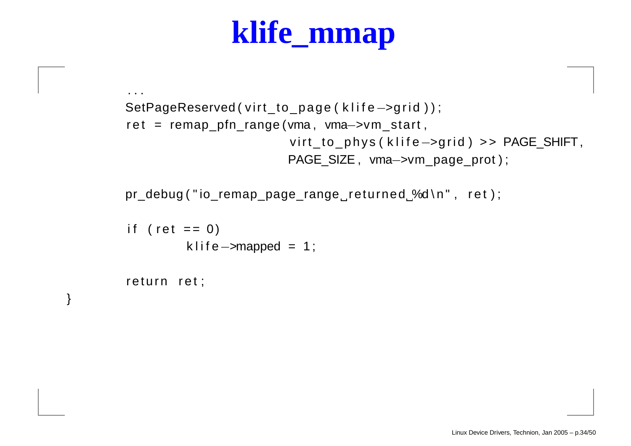### **klife\_mmap**

```
SetPageReserved ( virt_to_page ( klife ->grid ) );
ret = remap_pfn_range(vma, vma—>vm_start,
                         virt_to_phys(klife—>grid) >> PAGE_SHIFT,
                        PAGE
_
SIZE , vma−>vm_page_prot ) ;
```
pr\_debug ("io\_remap\_page\_range\_returned %d\n", ret);

```
iif ( ret == 0)
         klife—>mapped = 1;
```
return ret;

}

. . .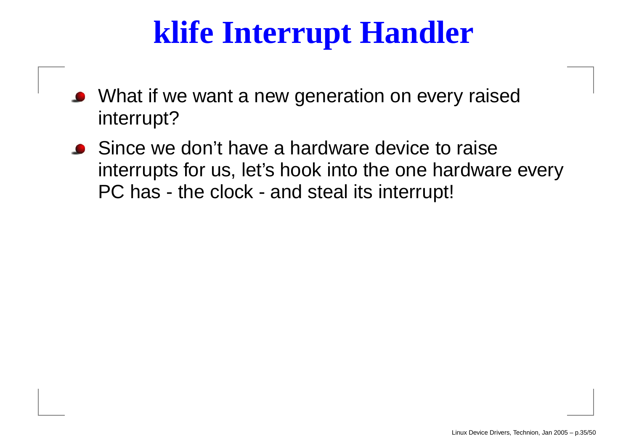### **klife Interrupt Handler**

- What if we want a new generation on every raised interrupt?
- Since we don't have a hardware device to raise interrupts for us, let's hook into the one hardware every PC has - the clock - and steal its interrupt!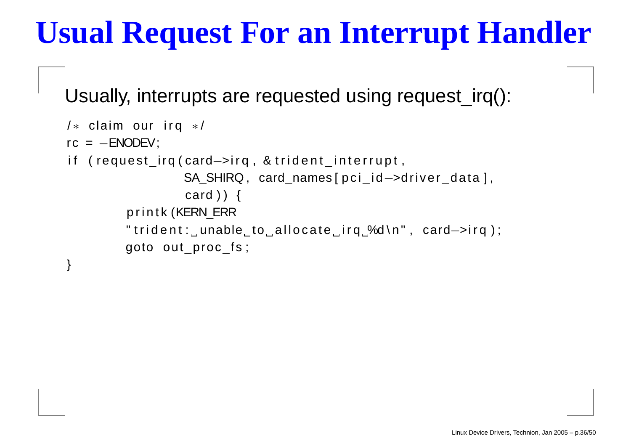### **Usual Request For an Interrupt Handler**

Usually, interrupts are requested using request\_irq():

```
/∗ claim our irq ∗/
rc = −ENODEV;
iif (request_irq(card—>irq , & trident_interrupt ,
                  SA
_
SHIRQ , card_names [ p c i _ i d−>dri ver_data ] ,
                  card ) ) {
         printk (KERN ERR)
         " trident :_unable_to_allocate_irq_%d\n" , card—>irq ) ;
         goto out proc fs;
```
}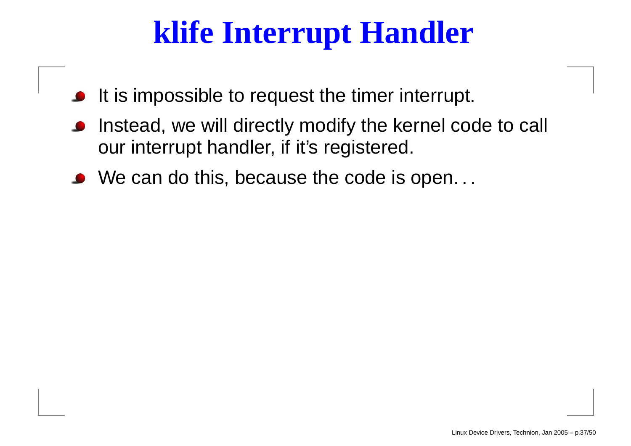### **klife Interrupt Handler**

- It is impossible to request the timer interrupt.
- Instead, we will directly modify the kernel code to call our interrupt handler, if it's registered.
- We can do this, because the code is open. . .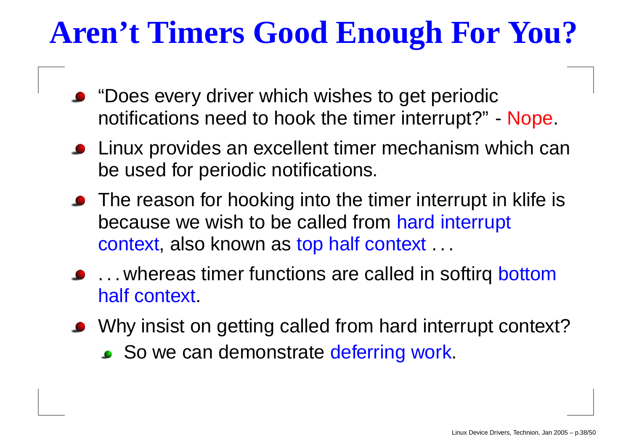### **Aren't Timers Good Enough For You?**

- "Does every driver which wishes to get periodic notifications need to hook the timer interrupt?" - Nope.
- Linux provides an excellent timer mechanism which can be used for periodic notifications.
- The reason for hooking into the timer interrupt in klife is because we wish to be called from hard interrupt context, also known as top half context . . .
- ... whereas timer functions are called in softirq bottom half context.
- Why insist on getting called from hard interrupt context?
	- So we can demonstrate deferring work.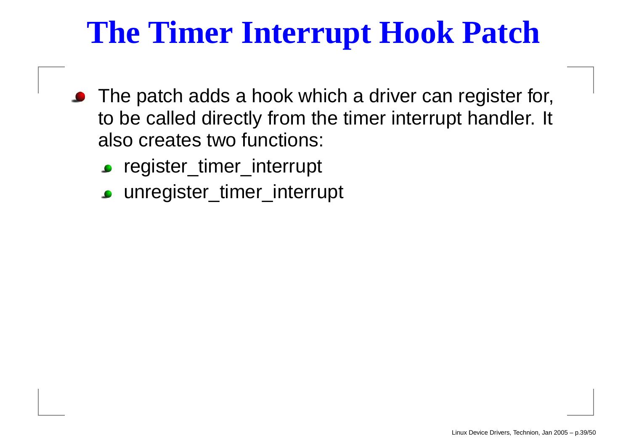### **The Timer Interrupt Hook Patch**

- The patch adds <sup>a</sup> hook which <sup>a</sup> driver can register for, to be called directly from the timer interrupt handler. It also creates two functions:
	- register\_timer\_interrupt
	- unregister\_timer\_interrupt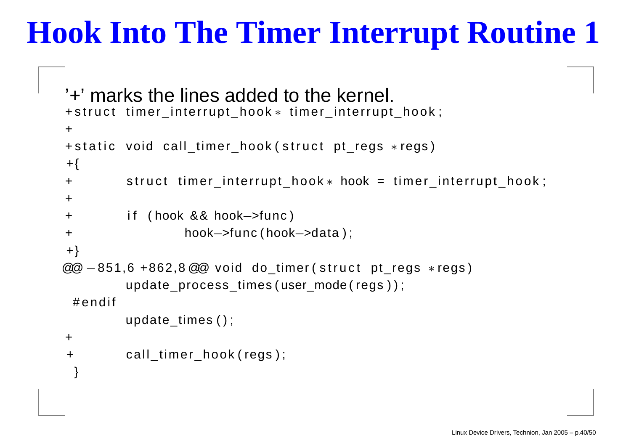### **Hook Into The Timer Interrupt Routine 1**

```
'+' marks the lines added to the kernel.
+struct timer_interrupt_hook\ast timer_interrupt_hook;
++static void call_timer_hook(struct pt_regs *regs)
+{
++     struct timer_interrupt_hook * hook = timer_interrupt_hook ;
++ i f ( hook && hook−>func )
+ hook−>func ( hook−>data ) ;
+}
@@ -851,6 +862,8 @@ void do_timer(struct pt_regs ∗regs)
        update_process_times ( user_mode ( regs ) ) ;
 # e n d if
        update_times ( ) ;
+++    call_timer_hook(regs);
 }
```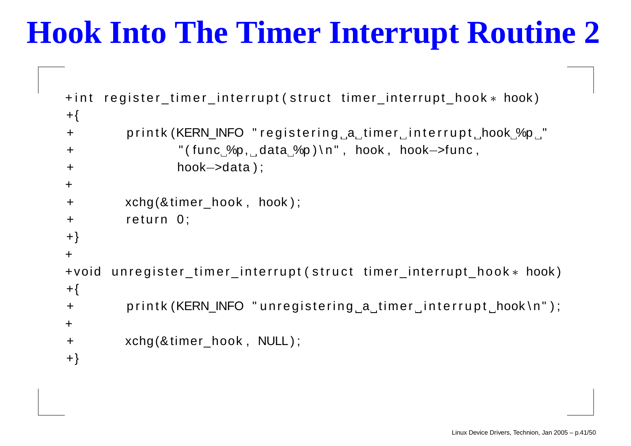### **Hook Into The Timer Interrupt Routine 2**

```
+int register_timer_interrupt(struct timer_interrupt_hook∗ hook)
+{}+printk (KERN_INFO " registering a timer interrupt hook %p "
+"(func %p, data %p)\n", hook, hook->func,
+ hook−>data ) ;
++ xchg(&timer_hook , hook ) ;
+return 0;
+}
++voidunregister_timer_interrupt (struct timer_interrupt_hook * hook)
+{
+printk (KERN_INFO "unregistering a timer interrupt hook\n");
++ xchg(&timer_hook , NULL ) ;
+}
```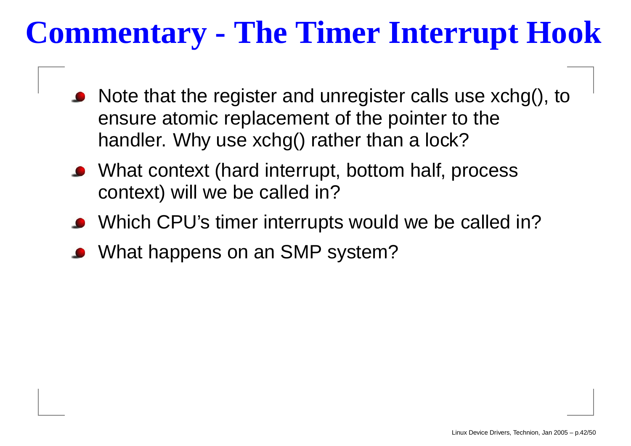### **Commentary - The Timer Interrupt Hook**

- Note that the register and unregister calls use xchg(), to ensure atomic replacement of the pointer to the handler. Why use xchg() rather than <sup>a</sup> lock?
- What context (hard interrupt, bottom half, process context) will we be called in?
- Which CPU's timer interrupts would we be called in?
- What happens on an SMP system?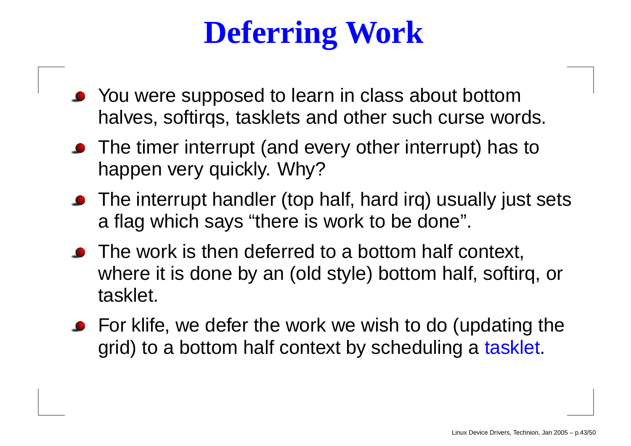### **Deferring Work**

- You were supposed to learn in class about bottom halves, softirqs, tasklets and other such curse words.
- The timer interrupt (and every other interrupt) has to happen very quickly. Why?
- The interrupt handler (top half, hard irq) usually just sets a flag which says "there is work to be done".
- The work is then deferred to a bottom half context, where it is done by an (old style) bottom half, softirq, or tasklet.
- **•** For klife, we defer the work we wish to do (updating the grid) to <sup>a</sup> bottom half context by scheduling <sup>a</sup> tasklet.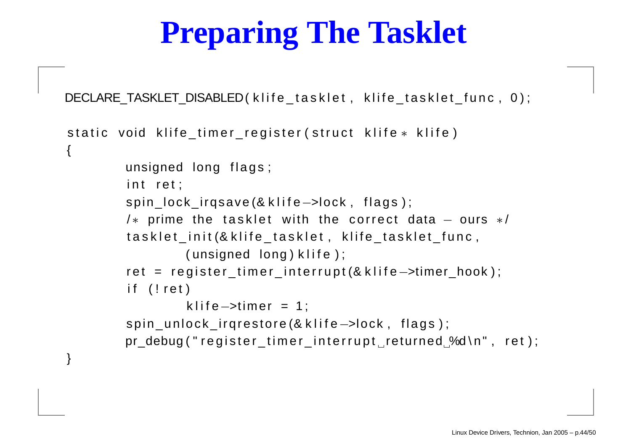### **Preparing The Tasklet**

DECLARE\_TASKLET\_DISABLED(klife\_tasklet, klife\_tasklet\_func, 0);

```
static void klife_timer_register(struct klife\ast klife)
{
        unsigned long flags;
         iint ret;
        spin_lock_irqsave (& klife->lock, flags);
         /\ast prime the tasklet with the correct data - ours \ast/tasklet_init(&klife_tasklet , klife_tasklet_func ,
                  i( unsigned long ) klife ) ;
         ret = register_timer_interrupt(&klife—>timer_hook);
         iif (!ret)
                 klife—>timer = 1;
        spin_unlock_irqrestore (& klife->lock, flags);
        pr_debug ("register_timer_interrupt_returned_%d\n", ret);
```
}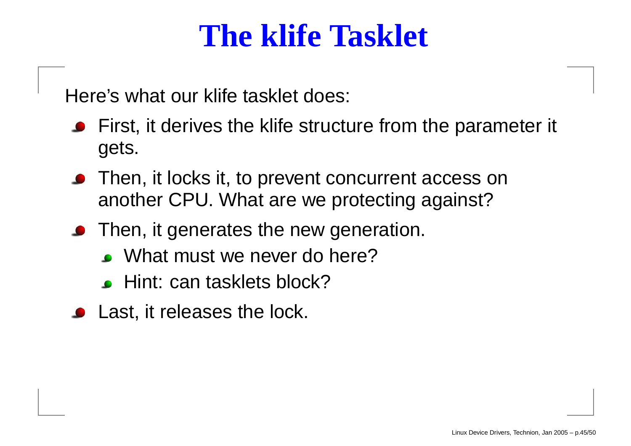#### **The klife Tasklet**

Here's what our klife tasklet does:

- **•** First, it derives the klife structure from the parameter it gets.
- **•** Then, it locks it, to prevent concurrent access on another CPU. What are we protecting against?
- **•** Then, it generates the new generation.
	- What must we never do here?
	- Hint: can tasklets block?
- Last, it releases the lock.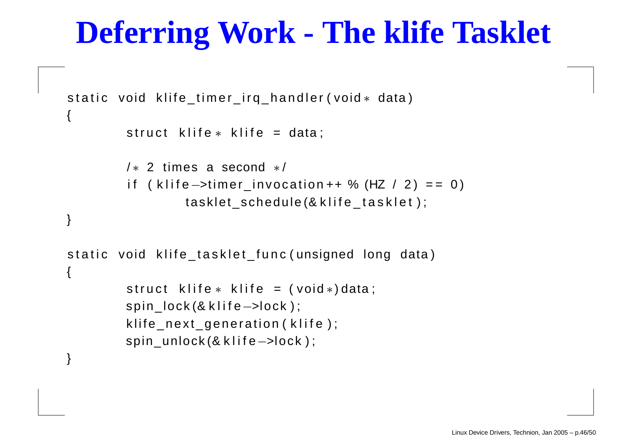#### **Deferring Work - The klife Tasklet**

```
static void klife_timer_irq_handler(void\ast data)
{
        struct klife∗ klife = data;
        / ∗ 2 times a second ∗ /
         iif (klife—>timer_invocation++ % (HZ / 2) == 0)
                 tasklet_schedule(&klife_tasklet);
}
static void klife_tasklet_func(unsigned long data)
{
        struct klife∗ klife = (void∗)data;
        spin_lock(& klife->lock);
        klife_next_generation(klife);
        spin_unlock(& klife->lock);
}
```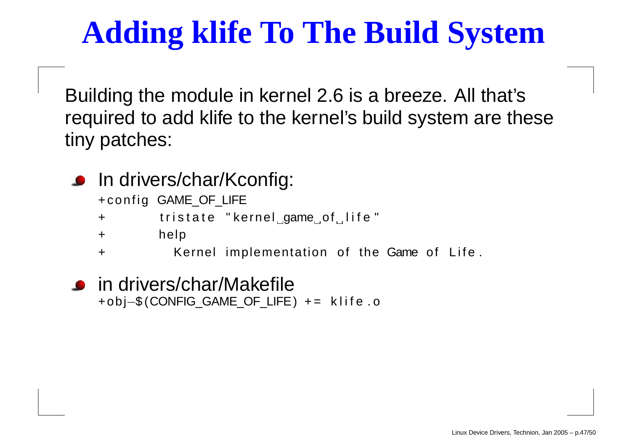### **Adding klife To The Build System**

Building the module in kernel 2.6 is <sup>a</sup> breeze. All that's required to add klife to the kernel's build system are these tiny patches:

In drivers/char/Kconfig:

+config GAME\_OF\_LIFE

 $+$ tristate "kernel\_game\_of\_life"

 $+$ help

+Kernel implementation of the Game of Life.

in drivers/char/Makefile +obj−\$ (CONFIG\_GAME\_OF\_LIFE) <sup>+</sup> <sup>=</sup> k l i f <sup>e</sup> . <sup>o</sup>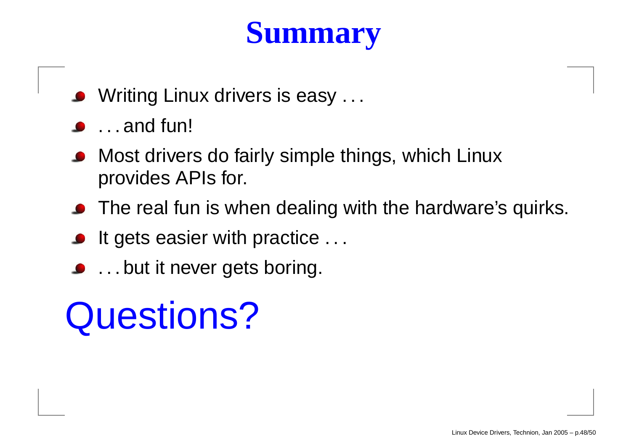### **Summary**

- **Writing Linux drivers is easy...**
- . . . and fun!
- Most drivers do fairly simple things, which Linux provides APIs for.
- The real fun is when dealing with the hardware's quirks.
- It gets easier with practice . . .
- . . . but it never gets boring.

# Questions?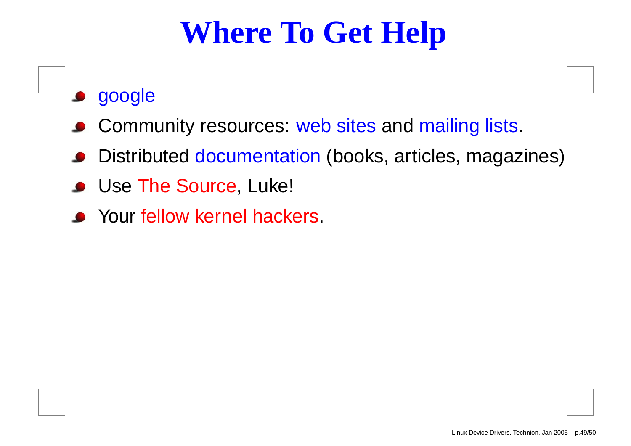### **Where To Get Help**

- google
- Community resources: web sites and mailing lists.
- Distributed documentation (books, articles, magazines)
- Use The Source, Luke!
- Your fellow kernel hackers.